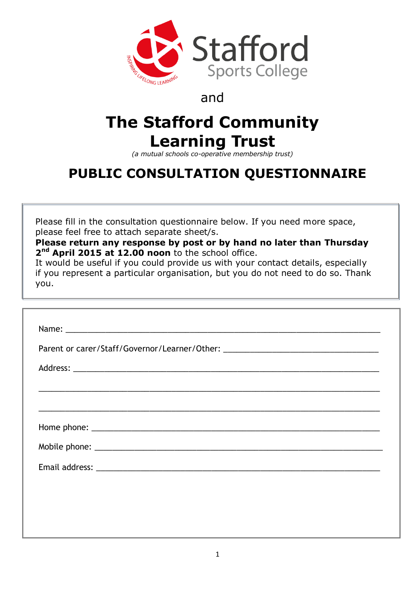

### and

# **The Stafford Community Learning Trust**

*(a mutual schools co-operative membership trust)*

## **PUBLIC CONSULTATION QUESTIONNAIRE**

Please fill in the consultation questionnaire below. If you need more space, please feel free to attach separate sheet/s.

**Please return any response by post or by hand no later than Thursday**  2<sup>nd</sup> April 2015 at 12.00 noon to the school office.

It would be useful if you could provide us with your contact details, especially if you represent a particular organisation, but you do not need to do so. Thank you.

| Parent or carer/Staff/Governor/Learner/Other: __________________________________ |  |  |  |
|----------------------------------------------------------------------------------|--|--|--|
|                                                                                  |  |  |  |
|                                                                                  |  |  |  |
|                                                                                  |  |  |  |
|                                                                                  |  |  |  |
|                                                                                  |  |  |  |
|                                                                                  |  |  |  |
|                                                                                  |  |  |  |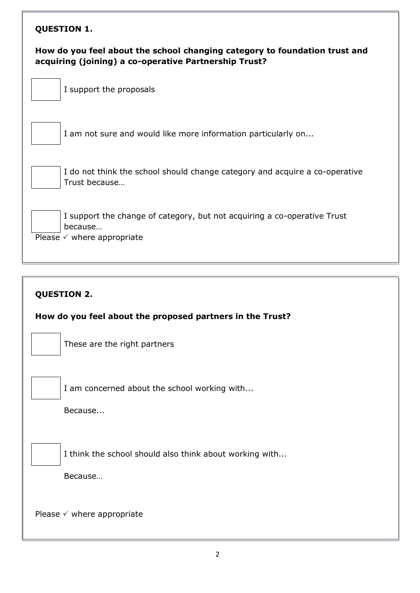#### **QUESTION 1.**

#### **How do you feel about the school changing category to foundation trust and acquiring (joining) a co-operative Partnership Trust?**

I support the proposals



I am not sure and would like more information particularly on...

I do not think the school should change category and acquire a co-operative Trust because…

I support the change of category, but not acquiring a co-operative Trust because…

Please  $\checkmark$  where appropriate

#### **QUESTION 2.**

**How do you feel about the proposed partners in the Trust?**

These are the right partners

I am concerned about the school working with...

Because...

I think the school should also think about working with...

Because…

Please  $\checkmark$  where appropriate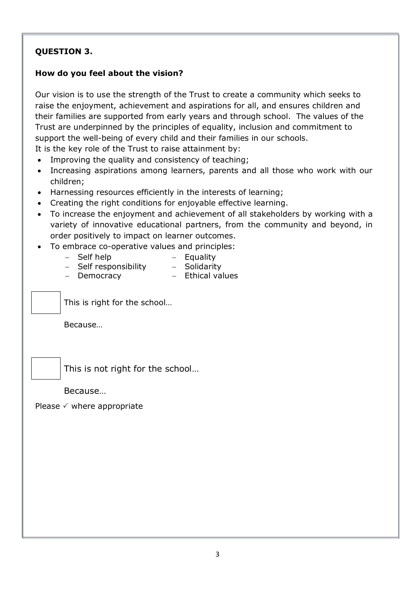#### **QUESTION 3.**

#### **How do you feel about the vision?**

Our vision is to use the strength of the Trust to create a community which seeks to raise the enjoyment, achievement and aspirations for all, and ensures children and their families are supported from early years and through school. The values of the Trust are underpinned by the principles of equality, inclusion and commitment to support the well-being of every child and their families in our schools.

It is the key role of the Trust to raise attainment by: Improving the quality and consistency of teaching;

- Increasing aspirations among learners, parents and all those who work with our children;
- Harnessing resources efficiently in the interests of learning;
- Creating the right conditions for enjoyable effective learning.
- To increase the enjoyment and achievement of all stakeholders by working with a variety of innovative educational partners, from the community and beyond, in order positively to impact on learner outcomes.
- To embrace co-operative values and principles:
	- Self help Equality
	- Self responsibility Solidarity
	- Democracy Ethical values

This is right for the school…

Because…



This is not right for the school…

Because…

Please  $\checkmark$  where appropriate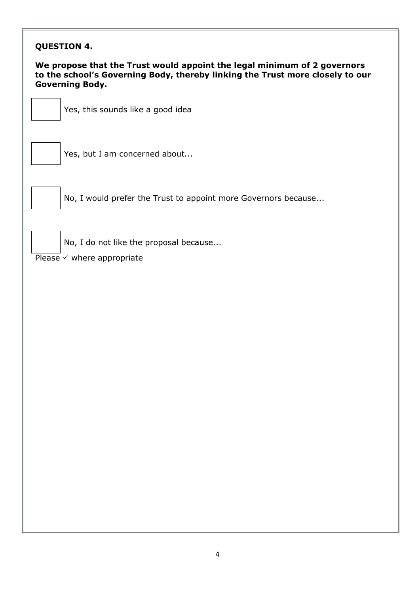| <b>QUESTION 4.</b>                                                                                                                                                                  |                                                                                 |  |  |  |
|-------------------------------------------------------------------------------------------------------------------------------------------------------------------------------------|---------------------------------------------------------------------------------|--|--|--|
| We propose that the Trust would appoint the legal minimum of 2 governors<br>to the school's Governing Body, thereby linking the Trust more closely to our<br><b>Governing Body.</b> |                                                                                 |  |  |  |
|                                                                                                                                                                                     | Yes, this sounds like a good idea                                               |  |  |  |
|                                                                                                                                                                                     | Yes, but I am concerned about                                                   |  |  |  |
|                                                                                                                                                                                     | No, I would prefer the Trust to appoint more Governors because                  |  |  |  |
|                                                                                                                                                                                     | No, I do not like the proposal because<br>Please $\checkmark$ where appropriate |  |  |  |
|                                                                                                                                                                                     |                                                                                 |  |  |  |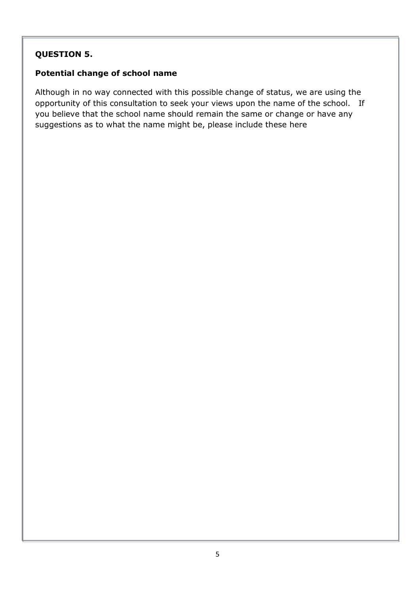#### **QUESTION 5.**

#### **Potential change of school name**

Although in no way connected with this possible change of status, we are using the opportunity of this consultation to seek your views upon the name of the school. If you believe that the school name should remain the same or change or have any suggestions as to what the name might be, please include these here